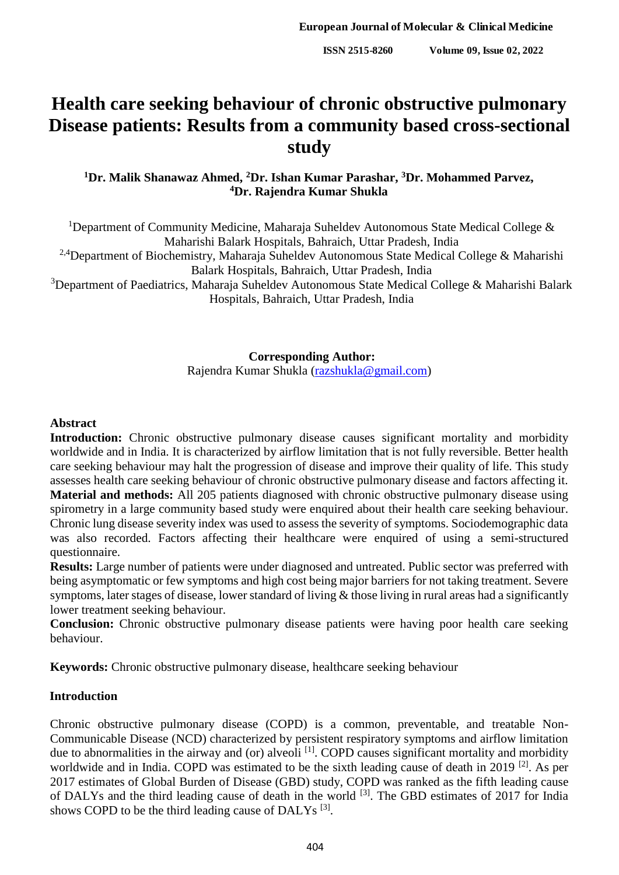# **Health care seeking behaviour of chronic obstructive pulmonary Disease patients: Results from a community based cross-sectional study**

## **<sup>1</sup>Dr. Malik Shanawaz Ahmed, <sup>2</sup>Dr. Ishan Kumar Parashar, <sup>3</sup>Dr. Mohammed Parvez, <sup>4</sup>Dr. Rajendra Kumar Shukla**

<sup>1</sup>Department of Community Medicine, Maharaja Suheldev Autonomous State Medical College  $\&$ Maharishi Balark Hospitals, Bahraich, Uttar Pradesh, India

<sup>2,4</sup>Department of Biochemistry, Maharaja Suheldev Autonomous State Medical College & Maharishi Balark Hospitals, Bahraich, Uttar Pradesh, India

<sup>3</sup>Department of Paediatrics, Maharaja Suheldev Autonomous State Medical College & Maharishi Balark Hospitals, Bahraich, Uttar Pradesh, India

**Corresponding Author:**

Rajendra Kumar Shukla [\(razshukla@gmail.com\)](mailto:razshukla@gmail.com)

#### **Abstract**

Introduction: Chronic obstructive pulmonary disease causes significant mortality and morbidity worldwide and in India. It is characterized by airflow limitation that is not fully reversible. Better health care seeking behaviour may halt the progression of disease and improve their quality of life. This study assesses health care seeking behaviour of chronic obstructive pulmonary disease and factors affecting it. **Material and methods:** All 205 patients diagnosed with chronic obstructive pulmonary disease using spirometry in a large community based study were enquired about their health care seeking behaviour. Chronic lung disease severity index was used to assess the severity of symptoms. Sociodemographic data was also recorded. Factors affecting their healthcare were enquired of using a semi-structured questionnaire.

**Results:** Large number of patients were under diagnosed and untreated. Public sector was preferred with being asymptomatic or few symptoms and high cost being major barriers for not taking treatment. Severe symptoms, later stages of disease, lower standard of living & those living in rural areas had a significantly lower treatment seeking behaviour.

**Conclusion:** Chronic obstructive pulmonary disease patients were having poor health care seeking behaviour.

**Keywords:** Chronic obstructive pulmonary disease, healthcare seeking behaviour

#### **Introduction**

Chronic obstructive pulmonary disease (COPD) is a common, preventable, and treatable Non-Communicable Disease (NCD) characterized by persistent respiratory symptoms and airflow limitation due to abnormalities in the airway and (or) alveoli<sup>[1]</sup>. COPD causes significant mortality and morbidity worldwide and in India. COPD was estimated to be the sixth leading cause of death in 2019 [2]. As per 2017 estimates of Global Burden of Disease (GBD) study, COPD was ranked as the fifth leading cause of DALYs and the third leading cause of death in the world [3]. The GBD estimates of 2017 for India shows COPD to be the third leading cause of DALYs<sup>[3]</sup>.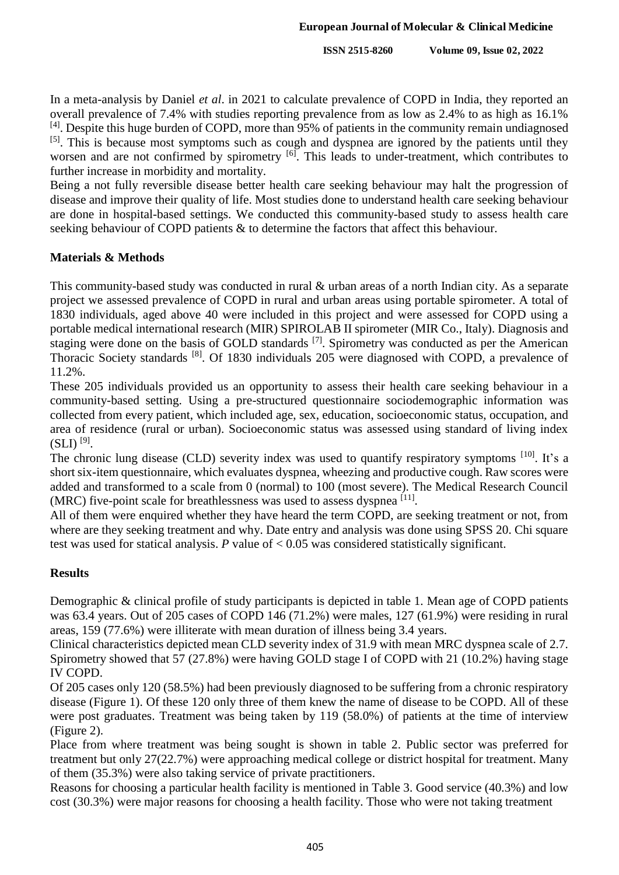In a meta-analysis by Daniel *et al*. in 2021 to calculate prevalence of COPD in India, they reported an overall prevalence of 7.4% with studies reporting prevalence from as low as 2.4% to as high as 16.1% <sup>[4]</sup>. Despite this huge burden of COPD, more than 95% of patients in the community remain undiagnosed <sup>[5]</sup>. This is because most symptoms such as cough and dyspnea are ignored by the patients until they worsen and are not confirmed by spirometry <sup>[6]</sup>. This leads to under-treatment, which contributes to further increase in morbidity and mortality.

Being a not fully reversible disease better health care seeking behaviour may halt the progression of disease and improve their quality of life. Most studies done to understand health care seeking behaviour are done in hospital-based settings. We conducted this community-based study to assess health care seeking behaviour of COPD patients & to determine the factors that affect this behaviour.

# **Materials & Methods**

This community-based study was conducted in rural & urban areas of a north Indian city. As a separate project we assessed prevalence of COPD in rural and urban areas using portable spirometer. A total of 1830 individuals, aged above 40 were included in this project and were assessed for COPD using a portable medical international research (MIR) SPIROLAB II spirometer (MIR Co., Italy). Diagnosis and staging were done on the basis of GOLD standards <sup>[7]</sup>. Spirometry was conducted as per the American Thoracic Society standards <sup>[8]</sup>. Of 1830 individuals 205 were diagnosed with COPD, a prevalence of 11.2%.

These 205 individuals provided us an opportunity to assess their health care seeking behaviour in a community-based setting. Using a pre-structured questionnaire sociodemographic information was collected from every patient, which included age, sex, education, socioeconomic status, occupation, and area of residence (rural or urban). Socioeconomic status was assessed using standard of living index  $(SLI)$   $^{[9]}$ .

The chronic lung disease (CLD) severity index was used to quantify respiratory symptoms <sup>[10]</sup>. It's a short six-item questionnaire, which evaluates dyspnea, wheezing and productive cough. Raw scores were added and transformed to a scale from 0 (normal) to 100 (most severe). The Medical Research Council (MRC) five-point scale for breathlessness was used to assess dyspnea [11].

All of them were enquired whether they have heard the term COPD, are seeking treatment or not, from where are they seeking treatment and why. Date entry and analysis was done using SPSS 20. Chi square test was used for statical analysis. *P* value of < 0.05 was considered statistically significant.

# **Results**

Demographic & clinical profile of study participants is depicted in table 1. Mean age of COPD patients was 63.4 years. Out of 205 cases of COPD 146 (71.2%) were males, 127 (61.9%) were residing in rural areas, 159 (77.6%) were illiterate with mean duration of illness being 3.4 years.

Clinical characteristics depicted mean CLD severity index of 31.9 with mean MRC dyspnea scale of 2.7. Spirometry showed that 57 (27.8%) were having GOLD stage I of COPD with 21 (10.2%) having stage IV COPD.

Of 205 cases only 120 (58.5%) had been previously diagnosed to be suffering from a chronic respiratory disease (Figure 1). Of these 120 only three of them knew the name of disease to be COPD. All of these were post graduates. Treatment was being taken by 119 (58.0%) of patients at the time of interview (Figure 2).

Place from where treatment was being sought is shown in table 2. Public sector was preferred for treatment but only 27(22.7%) were approaching medical college or district hospital for treatment. Many of them (35.3%) were also taking service of private practitioners.

Reasons for choosing a particular health facility is mentioned in Table 3. Good service (40.3%) and low cost (30.3%) were major reasons for choosing a health facility. Those who were not taking treatment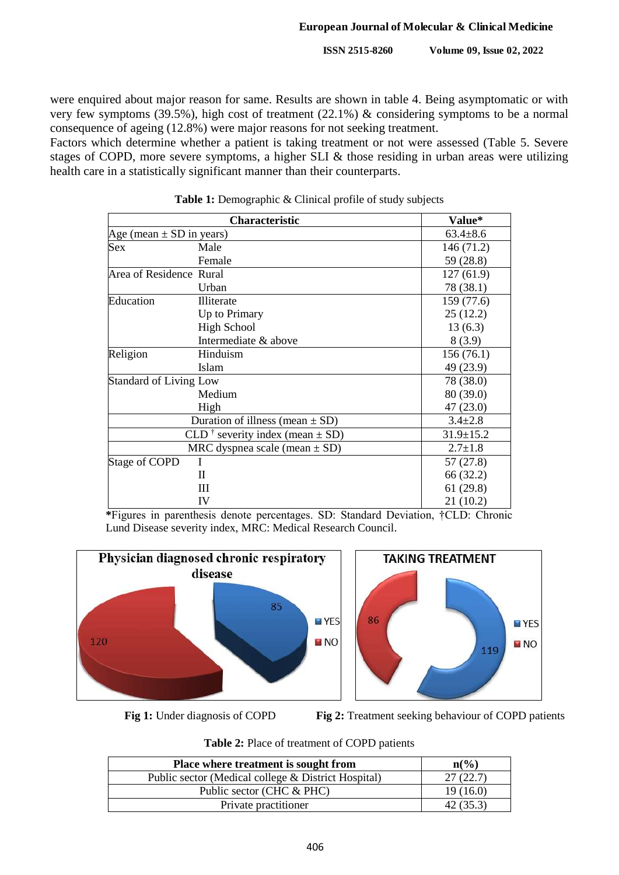were enquired about major reason for same. Results are shown in table 4. Being asymptomatic or with very few symptoms (39.5%), high cost of treatment (22.1%) & considering symptoms to be a normal consequence of ageing (12.8%) were major reasons for not seeking treatment.

Factors which determine whether a patient is taking treatment or not were assessed (Table 5. Severe stages of COPD, more severe symptoms, a higher SLI & those residing in urban areas were utilizing health care in a statistically significant manner than their counterparts.

|                              | Characteristic                                  | Value*          |  |
|------------------------------|-------------------------------------------------|-----------------|--|
| Age (mean $\pm$ SD in years) |                                                 | $63.4 \pm 8.6$  |  |
| Sex                          | Male                                            | 146 (71.2)      |  |
|                              | Female                                          | 59 (28.8)       |  |
| Area of Residence Rural      |                                                 | 127(61.9)       |  |
|                              | Urban                                           | 78 (38.1)       |  |
| Education                    | Illiterate                                      | 159 (77.6)      |  |
|                              | Up to Primary                                   | 25(12.2)        |  |
|                              | <b>High School</b>                              | 13(6.3)         |  |
|                              | Intermediate & above                            | 8(3.9)          |  |
| Religion                     | Hinduism                                        | 156(76.1)       |  |
|                              | <b>Islam</b>                                    | 49 (23.9)       |  |
|                              | <b>Standard of Living Low</b><br>78 (38.0)      |                 |  |
|                              | Medium                                          | 80 (39.0)       |  |
|                              | High                                            | 47 (23.0)       |  |
|                              | Duration of illness (mean $\pm$ SD)             | $3.4 \pm 2.8$   |  |
|                              | CLD <sup>†</sup> severity index (mean $\pm$ SD) | $31.9 \pm 15.2$ |  |
|                              | MRC dyspnea scale (mean $\pm$ SD)               | $2.7 \pm 1.8$   |  |
| Stage of COPD                |                                                 | 57 (27.8)       |  |
|                              | П                                               | 66 (32.2)       |  |
|                              | Ш                                               | 61(29.8)        |  |
|                              | IV                                              | 21(10.2)        |  |

Table 1: Demographic & Clinical profile of study subjects

**\***Figures in parenthesis denote percentages. SD: Standard Deviation, †CLD: Chronic Lund Disease severity index, MRC: Medical Research Council.





**Fig 1:** Under diagnosis of COPD **Fig 2:** Treatment seeking behaviour of COPD patients

|  |  | <b>Table 2:</b> Place of treatment of COPD patients |  |  |
|--|--|-----------------------------------------------------|--|--|
|--|--|-----------------------------------------------------|--|--|

| Place where treatment is sought from                | $\mathbf{n}(\%)$ |
|-----------------------------------------------------|------------------|
| Public sector (Medical college & District Hospital) | 27(22.7)         |
| Public sector (CHC & PHC)                           | 19(16.0)         |
| Private practitioner                                | 42 (35.3)        |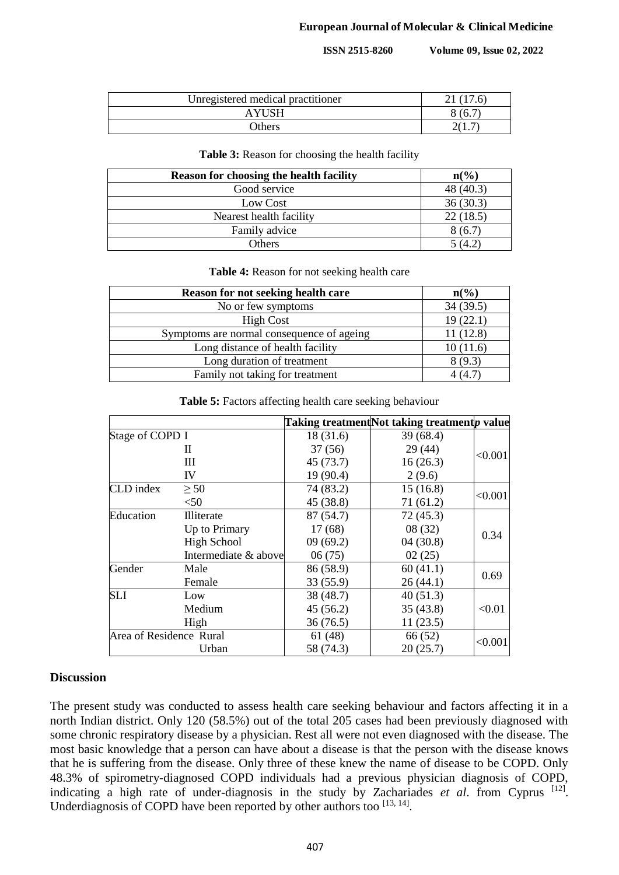| Unregistered medical practitioner |        |
|-----------------------------------|--------|
| <b>AYUSH</b>                      | 8 (6.  |
| <b>Others</b>                     | 41 L J |

#### **Table 3:** Reason for choosing the health facility

| <b>Reason for choosing the health facility</b> | $n\binom{0}{0}$ |
|------------------------------------------------|-----------------|
| Good service                                   | 48 (40.3)       |
| Low Cost                                       | 36(30.3)        |
| Nearest health facility                        | 22(18.5)        |
| Family advice                                  | 8(6.7)          |
| Others                                         | (4)             |

#### **Table 4:** Reason for not seeking health care

| Reason for not seeking health care        | $n\binom{0}{0}$ |
|-------------------------------------------|-----------------|
| No or few symptoms                        | 34(39.5)        |
| <b>High Cost</b>                          | 19(22.1)        |
| Symptoms are normal consequence of ageing | 11(12.8)        |
| Long distance of health facility          | 10(11.6)        |
| Long duration of treatment                | 8(9.3)          |
| Family not taking for treatment           | 4 (4.7)         |

**Table 5:** Factors affecting health care seeking behaviour

|                         |                      |           | Taking treatmentNot taking treatmentp value |         |
|-------------------------|----------------------|-----------|---------------------------------------------|---------|
| Stage of COPD I         |                      | 18(31.6)  | 39(68.4)                                    |         |
|                         | H                    | 37(56)    | 29(44)                                      |         |
|                         | Ш                    | 45(73.7)  | 16(26.3)                                    | < 0.001 |
|                         | IV                   | 19 (90.4) | 2(9.6)                                      |         |
| CLD index               | $\geq 50$            | 74 (83.2) | 15(16.8)                                    | < 0.001 |
|                         | < 50                 | 45 (38.8) | 71(61.2)                                    |         |
| Education               | Illiterate           | 87 (54.7) | 72(45.3)                                    |         |
|                         | Up to Primary        | 17(68)    | 08(32)                                      |         |
|                         | <b>High School</b>   | 09(69.2)  | 04(30.8)                                    | 0.34    |
|                         | Intermediate & above | 06(75)    | 02(25)                                      |         |
| Gender                  | Male                 | 86 (58.9) | 60(41.1)                                    | 0.69    |
|                         | Female               | 33(55.9)  | 26(44.1)                                    |         |
| <b>SLI</b>              | Low                  | 38 (48.7) | 40(51.3)                                    |         |
|                         | Medium               | 45(56.2)  | 35(43.8)                                    | < 0.01  |
|                         | High                 | 36(76.5)  | 11(23.5)                                    |         |
| Area of Residence Rural |                      | 61(48)    | 66 (52)                                     |         |
| Urban                   |                      | 58 (74.3) | 20(25.7)                                    | < 0.001 |

### **Discussion**

The present study was conducted to assess health care seeking behaviour and factors affecting it in a north Indian district. Only 120 (58.5%) out of the total 205 cases had been previously diagnosed with some chronic respiratory disease by a physician. Rest all were not even diagnosed with the disease. The most basic knowledge that a person can have about a disease is that the person with the disease knows that he is suffering from the disease. Only three of these knew the name of disease to be COPD. Only 48.3% of spirometry-diagnosed COPD individuals had a previous physician diagnosis of COPD, indicating a high rate of under-diagnosis in the study by Zachariades *et al.* from Cyprus [12]. Underdiagnosis of COPD have been reported by other authors too [13, 14].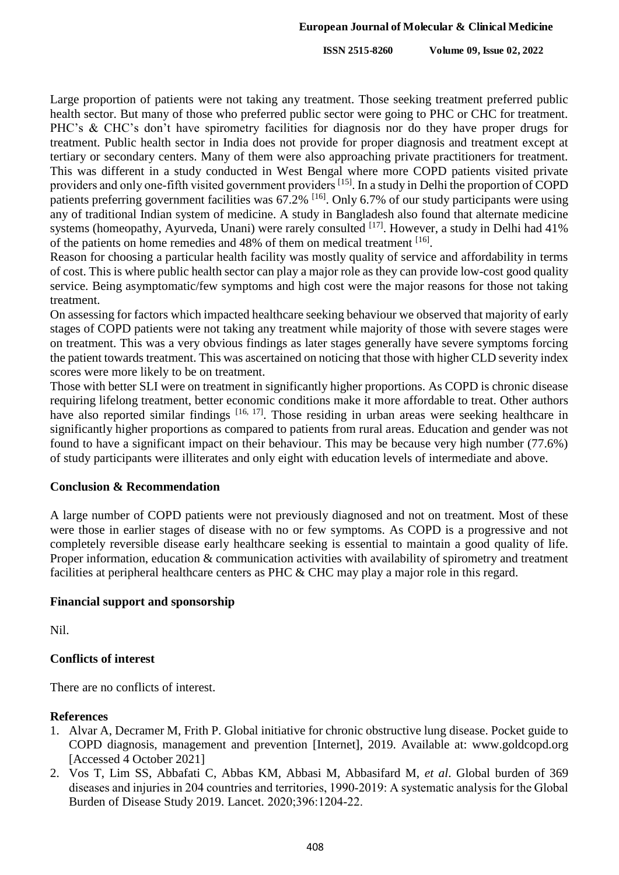Large proportion of patients were not taking any treatment. Those seeking treatment preferred public health sector. But many of those who preferred public sector were going to PHC or CHC for treatment. PHC's & CHC's don't have spirometry facilities for diagnosis nor do they have proper drugs for treatment. Public health sector in India does not provide for proper diagnosis and treatment except at tertiary or secondary centers. Many of them were also approaching private practitioners for treatment. This was different in a study conducted in West Bengal where more COPD patients visited private providers and only one-fifth visited government providers <sup>[15]</sup>. In a study in Delhi the proportion of COPD patients preferring government facilities was 67.2% <sup>[16]</sup>. Only 6.7% of our study participants were using any of traditional Indian system of medicine. A study in Bangladesh also found that alternate medicine systems (homeopathy, Ayurveda, Unani) were rarely consulted <sup>[17]</sup>. However, a study in Delhi had 41% of the patients on home remedies and 48% of them on medical treatment [16].

Reason for choosing a particular health facility was mostly quality of service and affordability in terms of cost. This is where public health sector can play a major role as they can provide low-cost good quality service. Being asymptomatic/few symptoms and high cost were the major reasons for those not taking treatment.

On assessing for factors which impacted healthcare seeking behaviour we observed that majority of early stages of COPD patients were not taking any treatment while majority of those with severe stages were on treatment. This was a very obvious findings as later stages generally have severe symptoms forcing the patient towards treatment. This was ascertained on noticing that those with higher CLD severity index scores were more likely to be on treatment.

Those with better SLI were on treatment in significantly higher proportions. As COPD is chronic disease requiring lifelong treatment, better economic conditions make it more affordable to treat. Other authors have also reported similar findings <sup>[16, 17]</sup>. Those residing in urban areas were seeking healthcare in significantly higher proportions as compared to patients from rural areas. Education and gender was not found to have a significant impact on their behaviour. This may be because very high number (77.6%) of study participants were illiterates and only eight with education levels of intermediate and above.

## **Conclusion & Recommendation**

A large number of COPD patients were not previously diagnosed and not on treatment. Most of these were those in earlier stages of disease with no or few symptoms. As COPD is a progressive and not completely reversible disease early healthcare seeking is essential to maintain a good quality of life. Proper information, education & communication activities with availability of spirometry and treatment facilities at peripheral healthcare centers as PHC & CHC may play a major role in this regard.

## **Financial support and sponsorship**

Nil.

# **Conflicts of interest**

There are no conflicts of interest.

## **References**

- 1. Alvar A, Decramer M, Frith P. Global initiative for chronic obstructive lung disease. Pocket guide to COPD diagnosis, management and prevention [Internet], 2019. Available at: www.goldcopd.org [Accessed 4 October 2021]
- 2. Vos T, Lim SS, Abbafati C, Abbas KM, Abbasi M, Abbasifard M, *et al*. Global burden of 369 diseases and injuries in 204 countries and territories, 1990‑2019: A systematic analysis for the Global Burden of Disease Study 2019. Lancet. 2020;396:1204‑22.